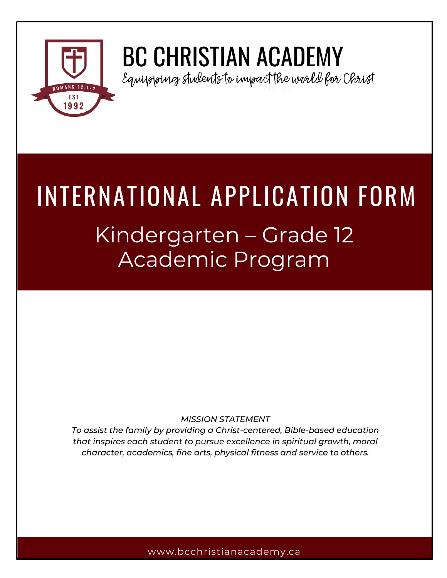

# **BC CHRISTIAN ACADEMY**

Equipopoincy students to impact the world for Christ

# INTERNATIONAL APPLICATION FORM

# Kindergarten – Grade 12 Academic Program

# **MISSION STATEMENT**

To assist the family by providing a Christ-centered, Bible-based education that inspires each student to pursue excellence in spiritual growth, moral character, academics, fine arts, physical fitness and service to others.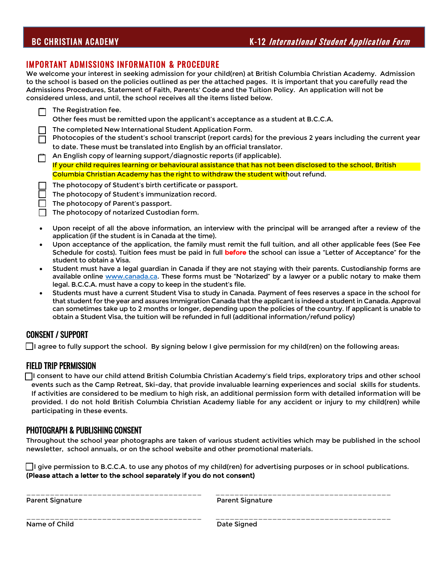## BC CHRISTIAN ACADEMY **K-12** *International Student Application Form*

#### IMPORTANT ADMISSIONS INFORMATION & PROCEDURE

We welcome your interest in seeking admission for your child(ren) at British Columbia Christian Academy. Admission to the school is based on the policies outlined as per the attached pages. It is important that you carefully read the Admissions Procedures, Statement of Faith, Parents' Code and the Tuition Policy. An application will not be considered unless, and until, the school receives all the items listed below.

| The Registration fee.<br>Other fees must be remitted upon the applicant's acceptance as a student at B.C.C.A.                                                                                                                                                          |
|------------------------------------------------------------------------------------------------------------------------------------------------------------------------------------------------------------------------------------------------------------------------|
| The completed New International Student Application Form.<br>Photocopies of the student's school transcript (report cards) for the previous 2 years including the current year                                                                                         |
| to date. These must be translated into English by an official translator.                                                                                                                                                                                              |
| An English copy of learning support/diagnostic reports (if applicable).                                                                                                                                                                                                |
| If your child requires learning or behavioural assistance that has not been disclosed to the school, British                                                                                                                                                           |
| Columbia Christian Academy has the right to withdraw the student without refund.                                                                                                                                                                                       |
| The photocopy of Student's birth certificate or passport.                                                                                                                                                                                                              |
| The photocopy of Student's immunization record.                                                                                                                                                                                                                        |
| The photocopy of Parent's passport.                                                                                                                                                                                                                                    |
| The photocopy of notarized Custodian form.                                                                                                                                                                                                                             |
| Upon receipt of all the above information, an interview with the principal will be arranged after a review of the<br>application (if the student is in Canada at the time).                                                                                            |
| Upon acceptance of the application, the family must remit the full tuition, and all other applicable fees (See Fee<br>Schedule for costs). Tuition fees must be paid in full before the school can issue a "Letter of Acceptance" for the<br>student to obtain a Visa. |

- Student must have a legal guardian in Canada if they are not staying with their parents. Custodianship forms are available online [www.canada.ca](http://www.canada.ca/). These forms must be "Notarized" by a lawyer or a public notary to make them legal. B.C.C.A. must have a copy to keep in the student's file.
- Students must have a current Student Visa to study in Canada. Payment of fees reserves a space in the school for that student for the year and assures Immigration Canada that the applicant is indeed a student in Canada. Approval can sometimes take up to 2 months or longer, depending upon the policies of the country. If applicant is unable to obtain a Student Visa, the tuition will be refunded in full (additional information/refund policy)

#### CONSENT / SUPPORT

 $\Box$  agree to fully support the school. By signing below I give permission for my child(ren) on the following areas:

#### FIELD TRIP PERMISSION

 I consent to have our child attend British Columbia Christian Academy's field trips, exploratory trips and other school events such as the Camp Retreat, Ski-day, that provide invaluable learning experiences and social skills for students. If activities are considered to be medium to high risk, an additional permission form with detailed information will be provided. I do not hold British Columbia Christian Academy liable for any accident or injury to my child(ren) while participating in these events.

#### PHOTOGRAPH & PUBLISHING CONSENT

Throughout the school year photographs are taken of various student activities which may be published in the school newsletter, school annuals, or on the school website and other promotional materials.

 $\Box$  give permission to B.C.C.A. to use any photos of my child(ren) for advertising purposes or in school publications. (Please attach a letter to the school separately if you do not consent)

\_\_\_\_\_\_\_\_\_\_\_\_\_\_\_\_\_\_\_\_\_\_\_\_\_\_\_\_\_\_\_\_\_\_\_\_\_ \_\_\_\_\_\_\_\_\_\_\_\_\_\_\_\_\_\_\_\_\_\_\_\_\_\_\_\_\_\_\_\_\_\_\_\_\_

\_\_\_\_\_\_\_\_\_\_\_\_\_\_\_\_\_\_\_\_\_\_\_\_\_\_\_\_\_\_\_\_\_\_\_\_\_ \_\_\_\_\_\_\_\_\_\_\_\_\_\_\_\_\_\_\_\_\_\_\_\_\_\_\_\_\_\_\_\_\_\_\_\_\_ Parent Signature **Parent Signature** Parent Signature

Name of Child **Date Signed**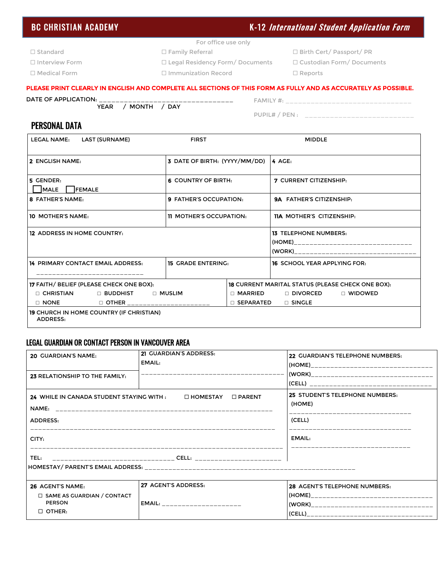# BC CHRISTIAN ACADEMY **K-12** *International Student Application Form*

- For office use only
- 
- Interview Form Legal Residency Form/ Documents Custodian Form/ Documents
- Medical Form Immunization Record Reports
- Standard Family Referral Birth Cert/ Passport/ PR
	-
	-

#### PLEASE PRINT CLEARLY IN ENGLISH AND COMPLETE ALL SECTIONS OF THIS FORM AS FULLY AND AS ACCURATELY AS POSSIBLE.

#### DATE OF APPLICATION: \_\_\_\_\_\_\_\_\_\_\_\_\_\_\_\_\_\_\_\_\_\_\_\_\_\_\_\_\_\_\_\_

YEAR / MONTH / DAY

FAMILY #: \_\_\_\_\_\_\_\_\_\_\_\_\_\_\_\_\_\_\_\_\_\_\_\_\_\_\_\_\_\_ PUPIL# / PEN : \_\_\_\_\_\_\_\_\_\_\_\_\_\_\_\_\_\_\_\_\_\_\_\_\_

#### PERSONAL DATA

| <b>LEGAL NAME:</b><br>LAST (SURNAME)                                                                                                                                                                          | <b>MIDDLE</b>                                           |                                                                                                                                                                                            |
|---------------------------------------------------------------------------------------------------------------------------------------------------------------------------------------------------------------|---------------------------------------------------------|--------------------------------------------------------------------------------------------------------------------------------------------------------------------------------------------|
| 2 ENGLISH NAME:                                                                                                                                                                                               | 3 DATE OF BIRTH: (YYYY/MM/DD)                           | 4 AGE:                                                                                                                                                                                     |
| 5 GENDER:<br>MALE  <br><b>IFEMALE</b>                                                                                                                                                                         | 6 COUNTRY OF BIRTH:                                     | <b>7 CURRENT CITIZENSHIP:</b>                                                                                                                                                              |
| <b>8 FATHER'S NAME:</b>                                                                                                                                                                                       | 9 FATHER'S OCCUPATION:                                  | <b>9A FATHER'S CITIZENSHIP:</b>                                                                                                                                                            |
| 10 MOTHER'S NAME:                                                                                                                                                                                             | <b>11 MOTHER'S OCCUPATION:</b>                          | <b>11A MOTHER'S CITIZENSHIP:</b>                                                                                                                                                           |
| <b>12 ADDRESS IN HOME COUNTRY:</b>                                                                                                                                                                            |                                                         | <b>13 TELEPHONE NUMBERS:</b><br>(HOME)__________________________________<br>(WORK) and the contract of the contract of the contract of the contract of the contract of the contract of the |
| <b>14 PRIMARY CONTACT EMAIL ADDRESS:</b>                                                                                                                                                                      | <b>15 GRADE ENTERING:</b>                               | <b>16 SCHOOL YEAR APPLYING FOR:</b>                                                                                                                                                        |
| <b>17 FAITH/ BELIEF (PLEASE CHECK ONE BOX):</b><br>$\Box$ CHRISTIAN<br>$\Box$ buddhist<br>$\Box$ NONE<br>□ OTHER ______________________<br><b>19 CHURCH IN HOME COUNTRY (IF CHRISTIAN)</b><br><b>ADDRESS:</b> | $\sqcap$ Muslim<br>$\sqcap$ MARRIED<br>$\Box$ SEPARATED | <b>18 CURRENT MARITAL STATUS (PLEASE CHECK ONE BOX):</b><br>$\Box$ divorced<br>$\Box$ widowed<br>$\Box$ SINGLE                                                                             |

#### LEGAL GUARDIAN OR CONTACT PERSON IN VANCOUVER AREA

| <b>20 GUARDIAN'S NAME:</b>                                              | 21 GUARDIAN'S ADDRESS:<br>EMAIL: | 22 GUARDIAN'S TELEPHONE NUMBERS:                                                                           |
|-------------------------------------------------------------------------|----------------------------------|------------------------------------------------------------------------------------------------------------|
| 23 RELATIONSHIP TO THE FAMILY:                                          |                                  | (WORK)___________________________________<br>(CELL) __________________________________                     |
| 24 WHILE IN CANADA STUDENT STAYING WITH :<br>NAME:<br>ADDRESS:<br>CITY: | $\square$ PARENT<br>□ HOMESTAY   | <b>25 STUDENT'S TELEPHONE NUMBERS:</b><br>(HOME)<br>(CELL)<br>__________________________________<br>EMAIL: |
| TEL:                                                                    |                                  |                                                                                                            |
| 26 AGENT'S NAME:                                                        | 27 AGENT'S ADDRESS:              | 28 AGENT'S TELEPHONE NUMBERS:                                                                              |
| $\Box$ SAME AS GUARDIAN / CONTACT<br><b>PERSON</b><br>$\Box$ OTHER:     | $EMAIL:$ ______________________  | (WORK)___________________________________                                                                  |

- 
- 
-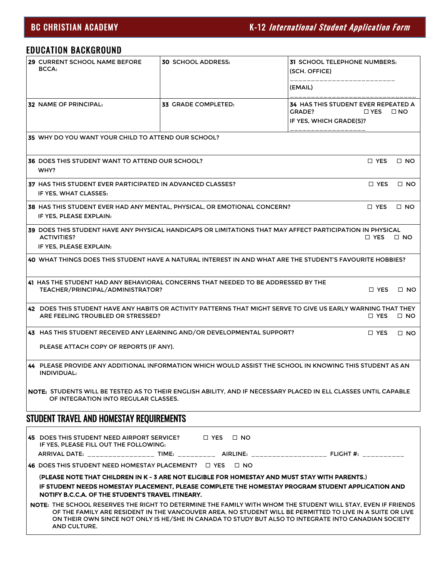# EDUCATION BACKGROUND

| 29 CURRENT SCHOOL NAME BEFORE<br>BCCA:                                                                           | <b>30 SCHOOL ADDRESS:</b>                                                                                                                                                                                                                                                                                                         | 31 SCHOOL TELEPHONE NUMBERS:<br>(SCH. OFFICE)                                                                                       |
|------------------------------------------------------------------------------------------------------------------|-----------------------------------------------------------------------------------------------------------------------------------------------------------------------------------------------------------------------------------------------------------------------------------------------------------------------------------|-------------------------------------------------------------------------------------------------------------------------------------|
|                                                                                                                  |                                                                                                                                                                                                                                                                                                                                   | (EMAIL)                                                                                                                             |
| <b>32 NAME OF PRINCIPAL:</b>                                                                                     | 33 GRADE COMPLETED:                                                                                                                                                                                                                                                                                                               | <b>34 HAS THIS STUDENT EVER REPEATED A</b><br>GRADE?<br>$\square$ YES<br>$\Box$ NO<br>IF YES, WHICH GRADE(S)?                       |
|                                                                                                                  |                                                                                                                                                                                                                                                                                                                                   |                                                                                                                                     |
| 35 WHY DO YOU WANT YOUR CHILD TO ATTEND OUR SCHOOL?                                                              |                                                                                                                                                                                                                                                                                                                                   |                                                                                                                                     |
| <b>36 DOES THIS STUDENT WANT TO ATTEND OUR SCHOOL?</b><br>WHY?                                                   |                                                                                                                                                                                                                                                                                                                                   | $\Box$ YES<br>$\Box$ NO                                                                                                             |
| 37 HAS THIS STUDENT EVER PARTICIPATED IN ADVANCED CLASSES?<br>IF YES, WHAT CLASSES:                              |                                                                                                                                                                                                                                                                                                                                   | $\Box$ YES<br>$\Box$ NO                                                                                                             |
| IF YES, PLEASE EXPLAIN:                                                                                          | <b>38 HAS THIS STUDENT EVER HAD ANY MENTAL, PHYSICAL, OR EMOTIONAL CONCERN?</b>                                                                                                                                                                                                                                                   | $\Box$ YES<br>$\Box$ NO                                                                                                             |
| <b>ACTIVITIES?</b><br>IF YES, PLEASE EXPLAIN:                                                                    | 39 DOES THIS STUDENT HAVE ANY PHYSICAL HANDICAPS OR LIMITATIONS THAT MAY AFFECT PARTICIPATION IN PHYSICAL                                                                                                                                                                                                                         | $\Box$ NO<br>□ YES                                                                                                                  |
|                                                                                                                  | 40 WHAT THINGS DOES THIS STUDENT HAVE A NATURAL INTEREST IN AND WHAT ARE THE STUDENT'S FAVOURITE HOBBIES?                                                                                                                                                                                                                         |                                                                                                                                     |
| TEACHER/PRINCIPAL/ADMINISTRATOR?                                                                                 | 41 HAS THE STUDENT HAD ANY BEHAVIORAL CONCERNS THAT NEEDED TO BE ADDRESSED BY THE                                                                                                                                                                                                                                                 | $\Box$ YES<br>$\Box$ NO                                                                                                             |
| ARE FEELING TROUBLED OR STRESSED?                                                                                |                                                                                                                                                                                                                                                                                                                                   | 42 DOES THIS STUDENT HAVE ANY HABITS OR ACTIVITY PATTERNS THAT MIGHT SERVE TO GIVE US EARLY WARNING THAT THEY<br>□ YES<br>$\Box$ NO |
|                                                                                                                  | 43 HAS THIS STUDENT RECEIVED ANY LEARNING AND/OR DEVELOPMENTAL SUPPORT?                                                                                                                                                                                                                                                           | □ YES<br>$\Box$ NO                                                                                                                  |
| PLEASE ATTACH COPY OF REPORTS (IF ANY).                                                                          |                                                                                                                                                                                                                                                                                                                                   |                                                                                                                                     |
| INDIVIDUAL:                                                                                                      | 44 PLEASE PROVIDE ANY ADDITIONAL INFORMATION WHICH WOULD ASSIST THE SCHOOL IN KNOWING THIS STUDENT AS AN                                                                                                                                                                                                                          |                                                                                                                                     |
| OF INTEGRATION INTO REGULAR CLASSES.                                                                             | NOTE: STUDENTS WILL BE TESTED AS TO THEIR ENGLISH ABILITY, AND IF NECESSARY PLACED IN ELL CLASSES UNTIL CAPABLE                                                                                                                                                                                                                   |                                                                                                                                     |
| STUDENT TRAVEL AND HOMESTAY REQUIREMENTS                                                                         |                                                                                                                                                                                                                                                                                                                                   |                                                                                                                                     |
| <b>45</b> DOES THIS STUDENT NEED AIRPORT SERVICE? $\Box$ YES $\Box$ NO<br>IF YES, PLEASE FILL OUT THE FOLLOWING: |                                                                                                                                                                                                                                                                                                                                   |                                                                                                                                     |
|                                                                                                                  | ARRIVAL DATE: _____________________ TIME: _____________ AIRLINE: _____________________________ FLIGHT #: ___________                                                                                                                                                                                                              |                                                                                                                                     |
| 46 DOES THIS STUDENT NEED HOMESTAY PLACEMENT? $\Box$ YES $\Box$ NO                                               |                                                                                                                                                                                                                                                                                                                                   |                                                                                                                                     |
| NOTIFY B.C.C.A. OF THE STUDENT'S TRAVEL ITINEARY.                                                                | (PLEASE NOTE THAT CHILDREN IN K - 3 ARE NOT ELIGIBLE FOR HOMESTAY AND MUST STAY WITH PARENTS.)<br>IF STUDENT NEEDS HOMESTAY PLACEMENT, PLEASE COMPLETE THE HOMESTAY PROGRAM STUDENT APPLICATION AND                                                                                                                               |                                                                                                                                     |
| AND CULTURE.                                                                                                     | NOTE: THE SCHOOL RESERVES THE RIGHT TO DETERMINE THE FAMILY WITH WHOM THE STUDENT WILL STAY, EVEN IF FRIENDS<br>OF THE FAMILY ARE RESIDENT IN THE VANCOUVER AREA. NO STUDENT WILL BE PERMITTED TO LIVE IN A SUITE OR LIVE<br>ON THEIR OWN SINCE NOT ONLY IS HE/SHE IN CANADA TO STUDY BUT ALSO TO INTEGRATE INTO CANADIAN SOCIETY |                                                                                                                                     |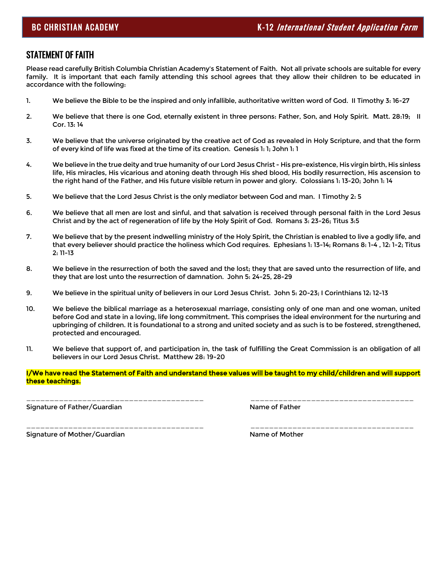#### STATEMENT OF FAITH

Ï

Please read carefully British Columbia Christian Academy's Statement of Faith. Not all private schools are suitable for every family. It is important that each family attending this school agrees that they allow their children to be educated in accordance with the following:

- 1. We believe the Bible to be the inspired and only infallible, authoritative written word of God. II Timothy 3: 16-27
- 2. We believe that there is one God, eternally existent in three persons: Father, Son, and Holy Spirit. Matt. 28:19; II Cor. 13: 14
- 3. We believe that the universe originated by the creative act of God as revealed in Holy Scripture, and that the form of every kind of life was fixed at the time of its creation. Genesis 1: 1; John 1: 1
- 4. We believe in the true deity and true humanity of our Lord Jesus Christ His pre-existence, His virgin birth, His sinless life, His miracles, His vicarious and atoning death through His shed blood, His bodily resurrection, His ascension to the right hand of the Father, and His future visible return in power and glory. Colossians 1: 13-20; John 1: 14
- 5. We believe that the Lord Jesus Christ is the only mediator between God and man. I Timothy 2: 5
- 6. We believe that all men are lost and sinful, and that salvation is received through personal faith in the Lord Jesus Christ and by the act of regeneration of life by the Holy Spirit of God. Romans 3: 23-26; Titus 3:5
- 7. We believe that by the present indwelling ministry of the Holy Spirit, the Christian is enabled to live a godly life, and that every believer should practice the holiness which God requires. Ephesians 1: 13-14; Romans 8: 1-4 , 12: 1-2; Titus 2: 11-13
- 8. We believe in the resurrection of both the saved and the lost; they that are saved unto the resurrection of life, and they that are lost unto the resurrection of damnation. John 5: 24-25, 28-29
- 9. We believe in the spiritual unity of believers in our Lord Jesus Christ. John 5: 20-23; I Corinthians 12: 12-13
- 10. We believe the biblical marriage as a heterosexual marriage, consisting only of one man and one woman, united before God and state in a loving, life long commitment. This comprises the ideal environment for the nurturing and upbringing of children. It is foundational to a strong and united society and as such is to be fostered, strengthened, protected and encouraged.
- 11. We believe that support of, and participation in, the task of fulfilling the Great Commission is an obligation of all believers in our Lord Jesus Christ. Matthew 28: 19-20

#### I/We have read the Statement of Faith and understand these values will be taught to my child/children and will support these teachings.

\_\_\_\_\_\_\_\_\_\_\_\_\_\_\_\_\_\_\_\_\_\_\_\_\_\_\_\_\_\_\_\_\_\_\_\_\_\_ \_\_\_\_\_\_\_\_\_\_\_\_\_\_\_\_\_\_\_\_\_\_\_\_\_\_\_\_\_\_\_\_\_\_\_

\_\_\_\_\_\_\_\_\_\_\_\_\_\_\_\_\_\_\_\_\_\_\_\_\_\_\_\_\_\_\_\_\_\_\_\_\_\_ \_\_\_\_\_\_\_\_\_\_\_\_\_\_\_\_\_\_\_\_\_\_\_\_\_\_\_\_\_\_\_\_\_\_\_

Signature of Father/Guardian Name of Father Name of Father

Signature of Mother/Guardian Name of Mother Name of Mother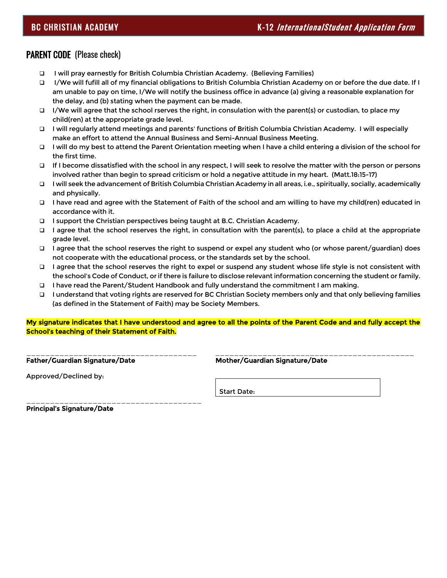### PARENT CODE (Please check)

- ❑ I will pray earnestly for British Columbia Christian Academy. (Believing Families)
- ❑ I/We will fufill all of my financial obligations to British Columbia Christian Academy on or before the due date. If I am unable to pay on time, I/We will notify the business office in advance (a) giving a reasonable explanation for the delay, and (b) stating when the payment can be made.
- ❑ I/We will agree that the school rserves the right, in consulation with the parent(s) or custodian, to place my child(ren) at the appropriate grade level.
- ❑ I will regularly attend meetings and parents' functions of British Columbia Christian Academy. I will especially make an effort to attend the Annual Business and Semi-Annual Business Meeting.
- ❑ I will do my best to attend the Parent Orientation meeting when I have a child entering a division of the school for the first time.
- ❑ If I become dissatisfied with the school in any respect, I will seek to resolve the matter with the person or persons involved rather than begin to spread criticism or hold a negative attitude in my heart. (Matt.18:15-17)
- ❑ I will seek the advancement of British Columbia Christian Academy in all areas, i.e., spiritually, socially, academically and physically.
- ❑ I have read and agree with the Statement of Faith of the school and am willing to have my child(ren) educated in accordance with it.
- ❑ I support the Christian perspectives being taught at B.C. Christian Academy.
- ❑ I agree that the school reserves the right, in consultation with the parent(s), to place a child at the appropriate grade level.
- ❑ I agree that the school reserves the right to suspend or expel any student who (or whose parent/guardian) does not cooperate with the educational process, or the standards set by the school.
- ❑ I agree that the school reserves the right to expel or suspend any student whose life style is not consistent with the school's Code of Conduct, or if there is failure to disclose relevant information concerning the student or family.
- ❑ I have read the Parent/Student Handbook and fully understand the commitment I am making.
- ❑ I understand that voting rights are reserved for BC Christian Society members only and that only believing families (as defined in the Statement of Faith) may be Society Members.

My signature indicates that I have understood and agree to all the points of the Parent Code and and fully accept the School's teaching of their Statement of Faith.

\_\_\_\_\_\_\_\_\_\_\_\_\_\_\_\_\_\_\_\_\_\_\_\_\_\_\_\_\_\_\_\_\_\_\_\_ \_\_\_\_\_\_\_\_\_\_\_\_\_\_\_\_\_\_\_\_\_\_\_\_\_\_\_\_\_\_\_\_\_\_\_\_\_\_\_\_\_\_ Father/Guardian Signature/Date Mother/Guardian Signature/Date

Approved/Declined by:

Start Date:

\_\_\_\_\_\_\_\_\_\_\_\_\_\_\_\_\_\_\_\_\_\_\_\_\_\_\_\_\_\_\_\_\_\_\_\_\_ Principal's Signature/Date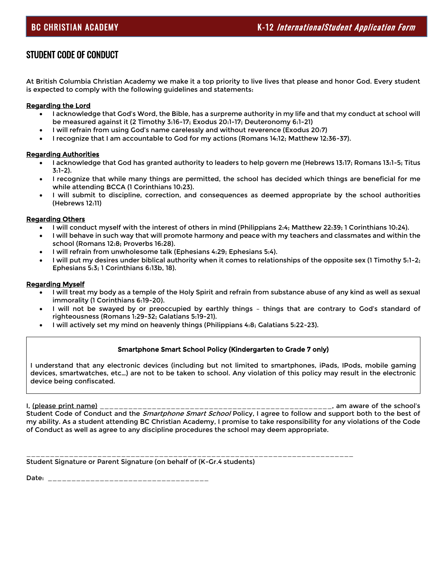## STUDENT CODE OF CONDUCT

At British Columbia Christian Academy we make it a top priority to live lives that please and honor God. Every student is expected to comply with the following guidelines and statements:

#### Regarding the Lord

- I acknowledge that God's Word, the Bible, has a surpreme authority in my life and that my conduct at school will be measured against it (2 Timothy 3:16-17; Exodus 20:1-17; Deuteronomy 6:1-21)
- I will refrain from using God's name carelessly and without reverence (Exodus 20:7)
- I recognize that I am accountable to God for my actions (Romans 14:12; Matthew 12:36-37).

#### Regarding Authorities

- I acknowledge that God has granted authority to leaders to help govern me (Hebrews 13:17; Romans 13:1-5; Titus 3:1-2).
- I recognize that while many things are permitted, the school has decided which things are beneficial for me while attending BCCA (1 Corinthians 10:23).
- I will submit to discipline, correction, and consequences as deemed appropriate by the school authorities (Hebrews 12:11)

#### Regarding Others

- I will conduct myself with the interest of others in mind (Philippians 2:4; Matthew 22:39; 1 Corinthians 10:24).
- I will behave in such way that will promote harmony and peace with my teachers and classmates and within the school (Romans 12:8; Proverbs 16:28).
- I will refrain from unwholesome talk (Ephesians 4:29; Ephesians 5:4).
- I will put my desires under biblical authority when it comes to relationships of the opposite sex (1 Timothy 5:1-2; Ephesians 5:3; 1 Corinthians 6:13b, 18).

#### Regarding Myself

- I will treat my body as a temple of the Holy Spirit and refrain from substance abuse of any kind as well as sexual immorality (1 Corinthians 6:19-20).
- I will not be swayed by or preoccupied by earthly things things that are contrary to God's standard of righteousness (Romans 1:29-32; Galatians 5:19-21).
- I will actively set my mind on heavenly things (Philippians 4:8; Galatians 5:22-23).

#### Smartphone Smart School Policy (Kindergarten to Grade 7 only)

I understand that any electronic devices (including but not limited to smartphones, iPads, IPods, mobile gaming devices, smartwatches, etc…) are not to be taken to school. Any violation of this policy may result in the electronic device being confiscated.

I, (please print name) \_\_\_\_\_\_\_\_\_\_\_\_\_\_\_\_\_\_\_\_\_\_\_\_\_\_\_\_\_\_\_\_\_\_\_\_\_\_\_\_\_\_\_\_\_\_\_\_\_, am aware of the school's Student Code of Conduct and the *Smartphone Smart School* Policy, I agree to follow and support both to the best of my ability. As a student attending BC Christian Academy, I promise to take responsibility for any violations of the Code of Conduct as well as agree to any discipline procedures the school may deem appropriate.

\_\_\_\_\_\_\_\_\_\_\_\_\_\_\_\_\_\_\_\_\_\_\_\_\_\_\_\_\_\_\_\_\_\_\_\_\_\_\_\_\_\_\_\_\_\_\_\_\_\_\_\_\_\_\_\_\_\_\_\_\_\_\_\_\_\_\_\_\_ Student Signature or Parent Signature (on behalf of (K-Gr.4 students)

Date: \_\_\_\_\_\_\_\_\_\_\_\_\_\_\_\_\_\_\_\_\_\_\_\_\_\_\_\_\_\_\_\_\_\_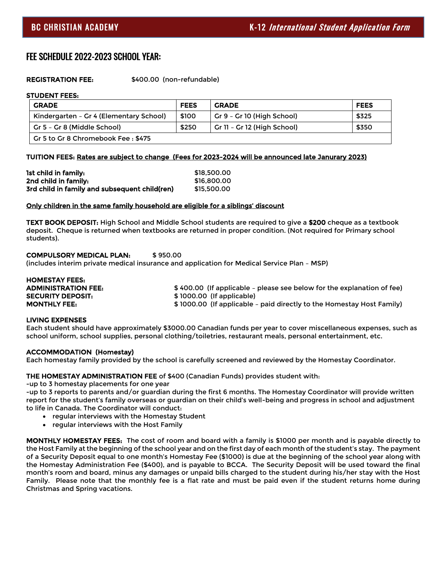#### FEE SCHEDULE 2022-2023 SCHOOL YEAR:

REGISTRATION FEE: \$400.00 (non-refundable)

#### STUDENT FEES:

| <b>GRADE</b>                            | <b>FEES</b> | <b>GRADE</b>                | <b>FEES</b> |
|-----------------------------------------|-------------|-----------------------------|-------------|
| Kindergarten - Gr 4 (Elementary School) | \$100       | Gr 9 - Gr 10 (High School)  | \$325       |
| Gr 5 - Gr 8 (Middle School)             | \$250       | Gr 11 - Gr 12 (High School) | \$350       |
| Gr 5 to Gr 8 Chromebook Fee: \$475      |             |                             |             |

#### TUITION FEES: Rates are subject to change (Fees for 2023-2024 will be announced late Janurary 2023)

| 1st child in family:                          | \$18,500.00 |
|-----------------------------------------------|-------------|
| 2nd child in family:                          | \$16,800,00 |
| 3rd child in family and subsequent child(ren) | \$15,500.00 |

#### Only children in the same family household are eligible for a siblings' discount

TEXT BOOK DEPOSIT: High School and Middle School students are required to give a \$200 cheque as a textbook deposit. Cheque is returned when textbooks are returned in proper condition. (Not required for Primary school students).

#### COMPULSORY MEDICAL PLAN: \$ 950.00

(includes interim private medical insurance and application for Medical Service Plan – MSP)

| <b>HOMESTAY FEES:</b>    |                                                                        |
|--------------------------|------------------------------------------------------------------------|
| ADMINISTRATION FEE:      | \$400.00 (If applicable - please see below for the explanation of fee) |
| <b>SECURITY DEPOSIT:</b> | \$1000.00 (If applicable)                                              |
| MONTHLY FEE:             | \$1000.00 (If applicable - paid directly to the Homestay Host Family)  |
|                          |                                                                        |

#### LIVING EXPENSES

Each student should have approximately \$3000.00 Canadian funds per year to cover miscellaneous expenses, such as school uniform, school supplies, personal clothing/toiletries, restaurant meals, personal entertainment, etc.

#### ACCOMMODATION (Homestay)

Each homestay family provided by the school is carefully screened and reviewed by the Homestay Coordinator.

#### THE HOMESTAY ADMINISTRATION FEE of \$400 (Canadian Funds) provides student with:

-up to 3 homestay placements for one year

-up to 3 reports to parents and/or guardian during the first 6 months. The Homestay Coordinator will provide written report for the student's family overseas or guardian on their child's well-being and progress in school and adjustment to life in Canada. The Coordinator will conduct:

- regular interviews with the Homestay Student
- regular interviews with the Host Family

MONTHLY HOMESTAY FEES: The cost of room and board with a family is \$1000 per month and is payable directly to the Host Family at the beginning of the school year and on the first day of each month of the student's stay. The payment of a Security Deposit equal to one month's Homestay Fee (\$1000) is due at the beginning of the school year along with the Homestay Administration Fee (\$400), and is payable to BCCA. The Security Deposit will be used toward the final month's room and board, minus any damages or unpaid bills charged to the student during his/her stay with the Host Family. Please note that the monthly fee is a flat rate and must be paid even if the student returns home during Christmas and Spring vacations.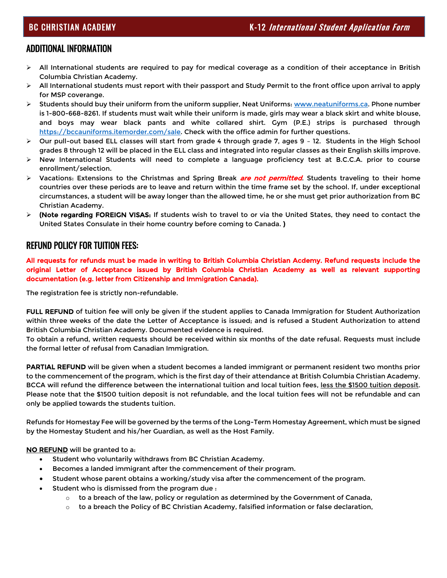#### ADDITIONAL INFORMATION

- ➢ All International students are required to pay for medical coverage as a condition of their acceptance in British Columbia Christian Academy.
- $\triangleright$  All International students must report with their passport and Study Permit to the front office upon arrival to apply for MSP coverange.
- ➢ Students should buy their uniform from the uniform supplier, Neat Uniforms[: www.neatuniforms.ca.](http://www.neatuniforms.ca/) Phone number is 1-800-668-8261. If students must wait while their uniform is made, girls may wear a black skirt and white blouse, and boys may wear black pants and white collared shirt. Gym (P.E.) strips is purchased through [https://bccauniforms.itemorder.com/sale.](https://bccauniforms.itemorder.com/sale) Check with the office admin for further questions.
- ➢ Our pull-out based ELL classes will start from grade 4 through grade 7, ages 9 12. Students in the High School grades 8 through 12 will be placed in the ELL class and integrated into regular classes as their English skills improve.
- ➢ New International Students will need to complete a language proficiency test at B.C.C.A. prior to course enrollment/selection.
- ≻ Vacations: Extensions to the Christmas and Spring Break *are not permitted*. Students traveling to their home countries over these periods are to leave and return within the time frame set by the school. If, under exceptional circumstances, a student will be away longer than the allowed time, he or she must get prior authorization from BC Christian Academy.
- ➢ (Note regarding FOREIGN VISAS: If students wish to travel to or via the United States, they need to contact the United States Consulate in their home country before coming to Canada. )

#### REFUND POLICY FOR TUITION FEES:

All requests for refunds must be made in writing to British Columbia Christian Acdemy. Refund requests include the original Letter of Acceptance issued by British Columbia Christian Academy as well as relevant supporting documentation (e.g. letter from Citizenship and Immigration Canada).

The registration fee is strictly non-refundable.

FULL REFUND of tuition fee will only be given if the student applies to Canada Immigration for Student Authorization within three weeks of the date the Letter of Acceptance is issued; and is refused a Student Authorization to attend British Columbia Christian Academy. Documented evidence is required.

To obtain a refund, written requests should be received within six months of the date refusal. Requests must include the formal letter of refusal from Canadian Immigration.

PARTIAL REFUND will be given when a student becomes a landed immigrant or permanent resident two months prior to the commencement of the program, which is the first day of their attendance at British Columbia Christian Academy. BCCA will refund the difference between the international tuition and local tuition fees, less the \$1500 tuition deposit. Please note that the \$1500 tuition deposit is not refundable, and the local tuition fees will not be refundable and can only be applied towards the students tuition.

Refunds for Homestay Fee will be governed by the terms of the Long-Term Homestay Agreement, which must be signed by the Homestay Student and his/her Guardian, as well as the Host Family.

NO REFUND will be granted to a:

- Student who voluntarily withdraws from BC Christian Academy.
- Becomes a landed immigrant after the commencement of their program.
- Student whose parent obtains a working/study visa after the commencement of the program.
- Student who is dismissed from the program due :
	- $\circ$  to a breach of the law, policy or regulation as determined by the Government of Canada,
	- $\circ$  to a breach the Policy of BC Christian Academy, falsified information or false declaration,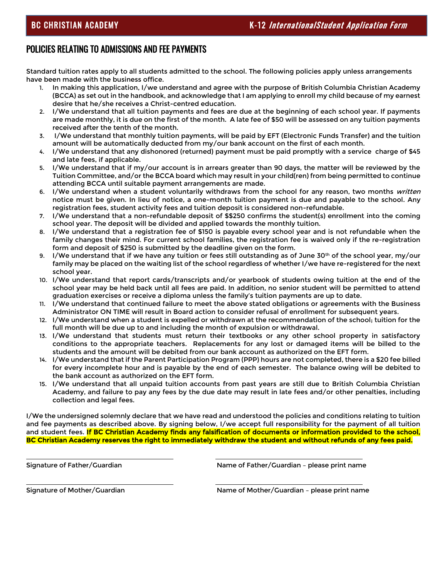#### POLICIES RELATING TO ADMISSIONS AND FEE PAYMENTS

Standard tuition rates apply to all students admitted to the school. The following policies apply unless arrangements have been made with the business office.

- 1. In making this application, I/we understand and agree with the purpose of British Columbia Christian Academy (BCCA) as set out in the handbook, and acknowledge that I am applying to enroll my child because of my earnest desire that he/she receives a Christ-centred education.
- 2. I/We understand that all tuition payments and fees are due at the beginning of each school year. If payments are made monthly, it is due on the first of the month. A late fee of \$50 will be assessed on any tuition payments received after the tenth of the month.
- 3. I/We understand that monthly tuition payments, will be paid by EFT (Electronic Funds Transfer) and the tuition amount will be automatically deducted from my/our bank account on the first of each month.
- 4. I/We understand that any dishonored (returned) payment must be paid promptly with a service charge of \$45 and late fees, if applicable.
- 5. I/We understand that if my/our account is in arrears greater than 90 days, the matter will be reviewed by the Tuition Committee, and/or the BCCA board which may result in your child(ren) from being permitted to continue attending BCCA until suitable payment arrangements are made.
- 6. I/We understand when a student voluntarily withdraws from the school for any reason, two months written notice must be given. In lieu of notice, a one-month tuition payment is due and payable to the school. Any registration fees, student activity fees and tuition deposit is considered non-refundable.
- 7. I/We understand that a non-refundable deposit of \$\$250 confirms the student(s) enrollment into the coming school year. The deposit will be divided and applied towards the monthly tuition.
- 8. I/We understand that a registration fee of \$150 is payable every school year and is not refundable when the family changes their mind. For current school families, the registration fee is waived only if the re-registration form and deposit of \$250 is submitted by the deadline given on the form.
- I/We understand that if we have any tuition or fees still outstanding as of June 30<sup>th</sup> of the school year, my/our family may be placed on the waiting list of the school regardless of whether I/we have re-registered for the next school year.
- 10. I/We understand that report cards/transcripts and/or yearbook of students owing tuition at the end of the school year may be held back until all fees are paid. In addition, no senior student will be permitted to attend graduation exercises or receive a diploma unless the family's tuition payments are up to date.
- 11. I/We understand that continued failure to meet the above stated obligations or agreements with the Business Administrator ON TIME will result in Board action to consider refusal of enrollment for subsequent years.
- 12. I/We understand when a student is expelled or withdrawn at the recommendation of the school; tuition for the full month will be due up to and including the month of expulsion or withdrawal.
- 13. I/We understand that students must return their textbooks or any other school property in satisfactory conditions to the appropriate teachers. Replacements for any lost or damaged items will be billed to the students and the amount will be debited from our bank account as authorized on the EFT form.
- 14. I/We understand that if the Parent Participation Program (PPP) hours are not completed, there is a \$20 fee billed for every incomplete hour and is payable by the end of each semester. The balance owing will be debited to the bank account as authorized on the EFT form.
- 15. I/We understand that all unpaid tuition accounts from past years are still due to British Columbia Christian Academy, and failure to pay any fees by the due date may result in late fees and/or other penalties, including collection and legal fees.

I/We the undersigned solemnly declare that we have read and understood the policies and conditions relating to tuition and fee payments as described above. By signing below, I/we accept full responsibility for the payment of all tuition and student fees. If BC Christian Academy finds any falsification of documents or information provided to the school, BC Christian Academy reserves the right to immediately withdraw the student and without refunds of any fees paid.

 $\overline{a}$ 

 $\overline{a}$ 

Signature of Father/Guardian **Name of Father/Guardian – please print name** 

Signature of Mother/Guardian Name of Mother/Guardian – please print name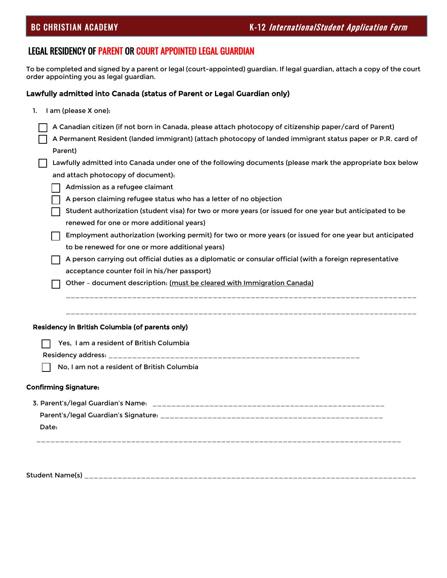# LEGAL RESIDENCY OF PARENT OR COURT APPOINTED LEGAL GUARDIAN

Student Name(s) \_\_\_\_\_\_\_\_\_\_\_\_\_\_\_\_\_\_\_\_\_\_\_\_\_\_\_\_\_\_\_\_\_\_\_\_\_\_\_\_\_\_\_\_\_\_\_\_\_\_\_\_\_\_\_\_\_\_\_\_\_\_\_\_\_\_\_\_\_\_

To be completed and signed by a parent or legal (court-appointed) guardian. If legal guardian, attach a copy of the court order appointing you as legal guardian.

#### Lawfully admitted into Canada (status of Parent or Legal Guardian only)

| I am (please X one):<br>1.                                                                                 |
|------------------------------------------------------------------------------------------------------------|
| A Canadian citizen (if not born in Canada, please attach photocopy of citizenship paper/card of Parent)    |
| A Permanent Resident (landed immigrant) (attach photocopy of landed immigrant status paper or P.R. card of |
| Parent)                                                                                                    |
| Lawfully admitted into Canada under one of the following documents (please mark the appropriate box below  |
| and attach photocopy of document):                                                                         |
| Admission as a refugee claimant                                                                            |
| A person claiming refugee status who has a letter of no objection                                          |
| Student authorization (student visa) for two or more years (or issued for one year but anticipated to be   |
| renewed for one or more additional years)                                                                  |
| Employment authorization (working permit) for two or more years (or issued for one year but anticipated    |
| to be renewed for one or more additional years)                                                            |
| A person carrying out official duties as a diplomatic or consular official (with a foreign representative  |
| acceptance counter foil in his/her passport)                                                               |
| Other - document description: (must be cleared with Immigration Canada)                                    |
| Residency in British Columbia (of parents only)                                                            |
| Yes, I am a resident of British Columbia                                                                   |
|                                                                                                            |
| No, I am not a resident of British Columbia                                                                |
| <b>Confirming Signature:</b>                                                                               |
|                                                                                                            |
|                                                                                                            |
| Date:                                                                                                      |
|                                                                                                            |
|                                                                                                            |
|                                                                                                            |